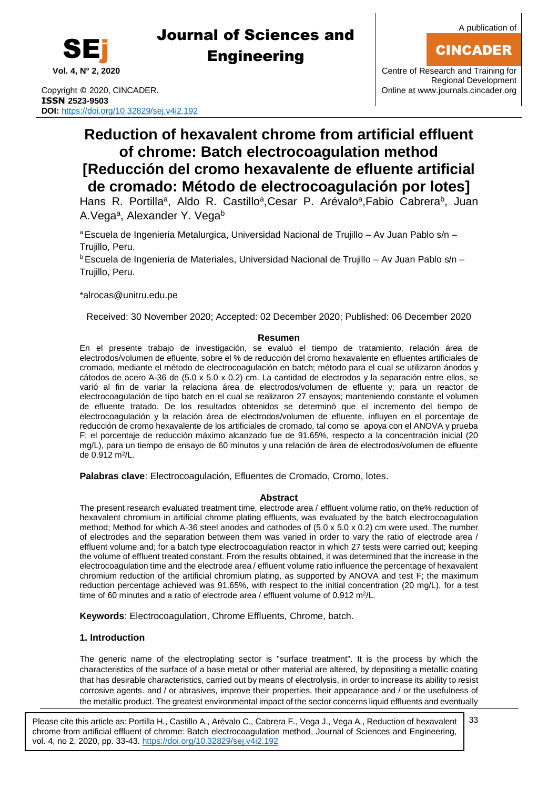

CINCADER



# Journal of Sciences and **Engineering**

Copyright © 2020, CINCADER. COME CONSERVERSITY CONFIDENTIAL CONSERVERSITY Online a[t www.journals.cincader.org](http://www.journals.cincader.org/) **ISSN 2523-9503 DOI:** <https://doi.org/10.32829/sej.v4i2.192>

# **Reduction of hexavalent chrome from artificial effluent of chrome: Batch electrocoagulation method [Reducción del cromo hexavalente de efluente artificial de cromado: Método de electrocoagulación por lotes]**

Hans R. Portilla<sup>a</sup>, Aldo R. Castillo<sup>a</sup>, Cesar P. Arévalo<sup>a</sup>, Fabio Cabrera<sup>b</sup>, Juan A.Vega<sup>a</sup>, Alexander Y. Vega<sup>b</sup>

<sup>a</sup> Escuela de Ingenieria Metalurgica, Universidad Nacional de Trujillo - Av Juan Pablo s/n -Trujillo, Peru.

<sup>b</sup> Escuela de Ingenieria de Materiales, Universidad Nacional de Trujillo – Av Juan Pablo s/n – Trujillo, Peru.

\*alroca[s@unitru.edu.pe](mailto:samu@uom.lk)

Received: 30 November 2020; Accepted: 02 December 2020; Published: 06 December 2020

### **Resumen**

En el presente trabajo de investigación, se evaluó el tiempo de tratamiento, relación área de electrodos/volumen de efluente, sobre el % de reducción del cromo hexavalente en efluentes artificiales de cromado, mediante el método de electrocoagulación en batch; método para el cual se utilizaron ánodos y cátodos de acero A-36 de (5.0 x 5.0 x 0.2) cm. La cantidad de electrodos y la separación entre ellos, se varió al fin de variar la relaciona área de electrodos/volumen de efluente y; para un reactor de electrocoagulación de tipo batch en el cual se realizaron 27 ensayos; manteniendo constante el volumen de efluente tratado. De los resultados obtenidos se determinó que el incremento del tiempo de electrocoagulación y la relación área de electrodos/volumen de efluente, influyen en el porcentaje de reducción de cromo hexavalente de los artificiales de cromado, tal como se apoya con el ANOVA y prueba F; el porcentaje de reducción máximo alcanzado fue de 91.65%, respecto a la concentración inicial (20 mg/L), para un tiempo de ensayo de 60 minutos y una relación de área de electrodos/volumen de efluente de 0.912 m<sup>2</sup> /L.

**Palabras clave**: Electrocoagulación, Efluentes de Cromado, Cromo, lotes.

### **Abstract**

The present research evaluated treatment time, electrode area / effluent volume ratio, on the% reduction of hexavalent chromium in artificial chrome plating effluents, was evaluated by the batch electrocoagulation method; Method for which A-36 steel anodes and cathodes of (5.0 x 5.0 x 0.2) cm were used. The number of electrodes and the separation between them was varied in order to vary the ratio of electrode area / effluent volume and; for a batch type electrocoagulation reactor in which 27 tests were carried out; keeping the volume of effluent treated constant. From the results obtained, it was determined that the increase in the electrocoagulation time and the electrode area / effluent volume ratio influence the percentage of hexavalent chromium reduction of the artificial chromium plating, as supported by ANOVA and test F; the maximum reduction percentage achieved was 91.65%, with respect to the initial concentration (20 mg/L), for a test time of 60 minutes and a ratio of electrode area / effluent volume of 0.912 m<sup>2</sup>/L.

**Keywords**: Electrocoagulation, Chrome Effluents, Chrome, batch.

### **1. Introduction**

The generic name of the electroplating sector is "surface treatment". It is the process by which the characteristics of the surface of a base metal or other material are altered, by depositing a metallic coating that has desirable characteristics, carried out by means of electrolysis, in order to increase its ability to resist corrosive agents. and / or abrasives, improve their properties, their appearance and / or the usefulness of the metallic product. The greatest environmental impact of the sector concerns liquid effluents and eventually

Please cite this article as: Portilla H., Castillo A., Arévalo C., Cabrera F., Vega J., Vega A., Reduction of hexavalent chrome from artificial effluent of chrome: Batch electrocoagulation method, Journal of Sciences and Engineering, vol. 4, no 2, 2020, pp. 33-43. <https://doi.org/10.32829/sej.v4i2.192>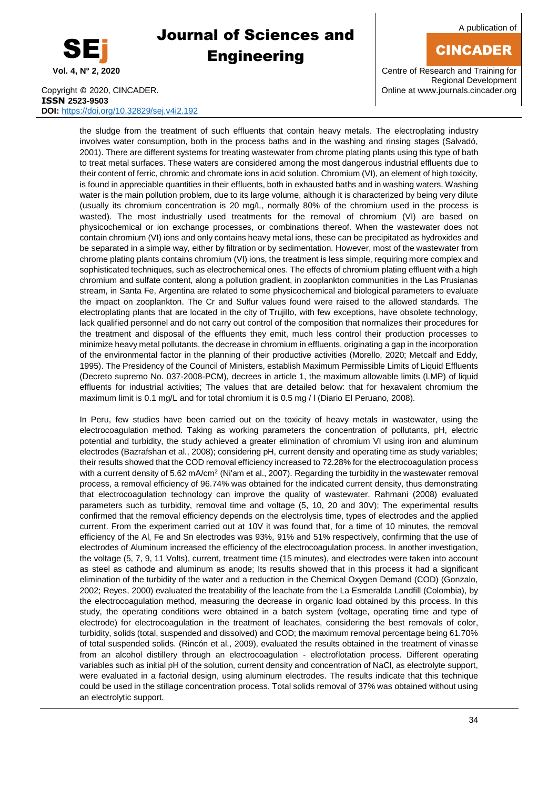

A publication of

## CINCADER

**Vol. 4, N° 2, 2020** Centre of Research and Training for Regional Development

Copyright © 2020, CINCADER. COME CONSERVERSITY CONFIDENTIAL CONSERVERSITY Online a[t www.journals.cincader.org](http://www.journals.cincader.org/) **ISSN 2523-9503 DOI:** <https://doi.org/10.32829/sej.v4i2.192>

the sludge from the treatment of such effluents that contain heavy metals. The electroplating industry involves water consumption, both in the process baths and in the washing and rinsing stages (Salvadó, 2001). There are different systems for treating wastewater from chrome plating plants using this type of bath to treat metal surfaces. These waters are considered among the most dangerous industrial effluents due to their content of ferric, chromic and chromate ions in acid solution. Chromium (VI), an element of high toxicity, is found in appreciable quantities in their effluents, both in exhausted baths and in washing waters. Washing water is the main pollution problem, due to its large volume, although it is characterized by being very dilute (usually its chromium concentration is 20 mg/L, normally 80% of the chromium used in the process is wasted). The most industrially used treatments for the removal of chromium (VI) are based on physicochemical or ion exchange processes, or combinations thereof. When the wastewater does not contain chromium (VI) ions and only contains heavy metal ions, these can be precipitated as hydroxides and be separated in a simple way, either by filtration or by sedimentation. However, most of the wastewater from chrome plating plants contains chromium (VI) ions, the treatment is less simple, requiring more complex and sophisticated techniques, such as electrochemical ones. The effects of chromium plating effluent with a high chromium and sulfate content, along a pollution gradient, in zooplankton communities in the Las Prusianas stream, in Santa Fe, Argentina are related to some physicochemical and biological parameters to evaluate the impact on zooplankton. The Cr and Sulfur values found were raised to the allowed standards. The electroplating plants that are located in the city of Trujillo, with few exceptions, have obsolete technology, lack qualified personnel and do not carry out control of the composition that normalizes their procedures for the treatment and disposal of the effluents they emit, much less control their production processes to minimize heavy metal pollutants, the decrease in chromium in effluents, originating a gap in the incorporation of the environmental factor in the planning of their productive activities (Morello, 2020; Metcalf and Eddy, 1995). The Presidency of the Council of Ministers, establish Maximum Permissible Limits of Liquid Effluents (Decreto supremo No. 037-2008-PCM), decrees in article 1, the maximum allowable limits (LMP) of liquid effluents for industrial activities; The values that are detailed below: that for hexavalent chromium the maximum limit is 0.1 mg/L and for total chromium it is 0.5 mg / l (Diario El Peruano, 2008).

In Peru, few studies have been carried out on the toxicity of heavy metals in wastewater, using the electrocoagulation method. Taking as working parameters the concentration of pollutants, pH, electric potential and turbidity, the study achieved a greater elimination of chromium VI using iron and aluminum electrodes (Bazrafshan et al., 2008); considering pH, current density and operating time as study variables; their results showed that the COD removal efficiency increased to 72.28% for the electrocoagulation process with a current density of 5.62 mA/cm<sup>2</sup> (Ni'am et al., 2007). Regarding the turbidity in the wastewater removal process, a removal efficiency of 96.74% was obtained for the indicated current density, thus demonstrating that electrocoagulation technology can improve the quality of wastewater. Rahmani (2008) evaluated parameters such as turbidity, removal time and voltage (5, 10, 20 and 30V); The experimental results confirmed that the removal efficiency depends on the electrolysis time, types of electrodes and the applied current. From the experiment carried out at 10V it was found that, for a time of 10 minutes, the removal efficiency of the Al, Fe and Sn electrodes was 93%, 91% and 51% respectively, confirming that the use of electrodes of Aluminum increased the efficiency of the electrocoagulation process. In another investigation, the voltage (5, 7, 9, 11 Volts), current, treatment time (15 minutes), and electrodes were taken into account as steel as cathode and aluminum as anode; Its results showed that in this process it had a significant elimination of the turbidity of the water and a reduction in the Chemical Oxygen Demand (COD) (Gonzalo, 2002; Reyes, 2000) evaluated the treatability of the leachate from the La Esmeralda Landfill (Colombia), by the electrocoagulation method, measuring the decrease in organic load obtained by this process. In this study, the operating conditions were obtained in a batch system (voltage, operating time and type of electrode) for electrocoagulation in the treatment of leachates, considering the best removals of color, turbidity, solids (total, suspended and dissolved) and COD; the maximum removal percentage being 61.70% of total suspended solids. (Rincón et al., 2009), evaluated the results obtained in the treatment of vinasse from an alcohol distillery through an electrocoagulation - electroflotation process. Different operating variables such as initial pH of the solution, current density and concentration of NaCl, as electrolyte support, were evaluated in a factorial design, using aluminum electrodes. The results indicate that this technique could be used in the stillage concentration process. Total solids removal of 37% was obtained without using an electrolytic support.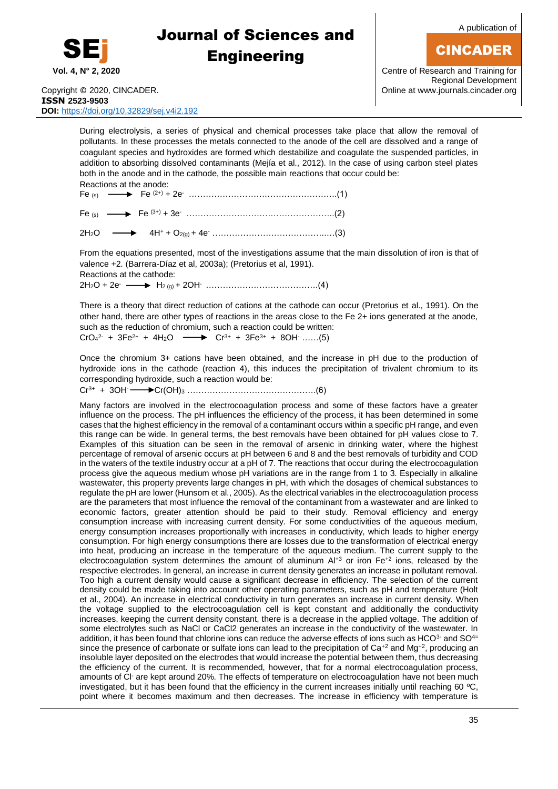

A publication of

## CINCADER

**Vol. 4, N° 2, 2020** Centre of Research and Training for Regional Development Copyright © 2020, CINCADER. COMEXAGO CONSULTER CONVIDENT CONTINUES AND CONTINUES ON LOCAL CONTINUES ON A CONTROL CONTROL OF CONTROL OF A CONTROL OF CONTROL OF A CONTROL OF CONTROL OF A CONTROL OF CONTROL OF A CONTROL OF CO

**ISSN 2523-9503 DOI:** <https://doi.org/10.32829/sej.v4i2.192>

> During electrolysis, a series of physical and chemical processes take place that allow the removal of pollutants. In these processes the metals connected to the anode of the cell are dissolved and a range of coagulant species and hydroxides are formed which destabilize and coagulate the suspended particles, in addition to absorbing dissolved contaminants (Mejía et al., 2012). In the case of using carbon steel plates both in the anode and in the cathode, the possible main reactions that occur could be:

Reactions at the anode: Fe (s) Fe (2+) + 2e- ……………………………………………..(1)

Fe  $_{(s)}$   $\longrightarrow$  Fe  $^{(3+)}$  + 3e  $\ldots$   $\ldots$   $\ldots$   $\ldots$   $\ldots$   $\ldots$   $\ldots$   $(2)$ 

2H2O 4H<sup>+</sup> + O2(g) + 4e- …………………………………..…(3)

From the equations presented, most of the investigations assume that the main dissolution of iron is that of valence +2. (Barrera-Díaz et al, 2003a); (Pretorius et al, 1991). Reactions at the cathode:  $2H_2O + 2e^-$ H2 (g) + 2OH- ………………………………….(4)

There is a theory that direct reduction of cations at the cathode can occur (Pretorius et al., 1991). On the other hand, there are other types of reactions in the areas close to the Fe 2+ ions generated at the anode, such as the reduction of chromium, such a reaction could be written:  $CrO<sub>4</sub><sup>2</sup>$  + 3Fe<sup>2+</sup> + 4H<sub>2</sub>O  $\longrightarrow$  Cr<sup>3+</sup> + 3Fe<sup>3+</sup> + 8OH ......(5)

Once the chromium 3+ cations have been obtained, and the increase in pH due to the production of hydroxide ions in the cathode (reaction 4), this induces the precipitation of trivalent chromium to its corresponding hydroxide, such a reaction would be:

 $Cr^{3+} + 3OH -$ Cr(OH)<sup>3</sup> ……………………………………….(6)

Many factors are involved in the electrocoagulation process and some of these factors have a greater influence on the process. The pH influences the efficiency of the process, it has been determined in some cases that the highest efficiency in the removal of a contaminant occurs within a specific pH range, and even this range can be wide. In general terms, the best removals have been obtained for pH values close to 7. Examples of this situation can be seen in the removal of arsenic in drinking water, where the highest percentage of removal of arsenic occurs at pH between 6 and 8 and the best removals of turbidity and COD in the waters of the textile industry occur at a pH of 7. The reactions that occur during the electrocoagulation process give the aqueous medium whose pH variations are in the range from 1 to 3. Especially in alkaline wastewater, this property prevents large changes in pH, with which the dosages of chemical substances to regulate the pH are lower (Hunsom et al., 2005). As the electrical variables in the electrocoagulation process are the parameters that most influence the removal of the contaminant from a wastewater and are linked to economic factors, greater attention should be paid to their study. Removal efficiency and energy consumption increase with increasing current density. For some conductivities of the aqueous medium, energy consumption increases proportionally with increases in conductivity, which leads to higher energy consumption. For high energy consumptions there are losses due to the transformation of electrical energy into heat, producing an increase in the temperature of the aqueous medium. The current supply to the electrocoagulation system determines the amount of aluminum  $Al^{+3}$  or iron  $Fe^{+2}$  ions, released by the respective electrodes. In general, an increase in current density generates an increase in pollutant removal. Too high a current density would cause a significant decrease in efficiency. The selection of the current density could be made taking into account other operating parameters, such as pH and temperature (Holt et al., 2004). An increase in electrical conductivity in turn generates an increase in current density. When the voltage supplied to the electrocoagulation cell is kept constant and additionally the conductivity increases, keeping the current density constant, there is a decrease in the applied voltage. The addition of some electrolytes such as NaCl or CaCl2 generates an increase in the conductivity of the wastewater. In addition, it has been found that chlorine ions can reduce the adverse effects of ions such as HCO3- and SO4= since the presence of carbonate or sulfate ions can lead to the precipitation of  $Ca^{+2}$  and  $Mg^{+2}$ , producing an insoluble layer deposited on the electrodes that would increase the potential between them, thus decreasing the efficiency of the current. It is recommended, however, that for a normal electrocoagulation process, amounts of Cl- are kept around 20%. The effects of temperature on electrocoagulation have not been much investigated, but it has been found that the efficiency in the current increases initially until reaching 60  $\degree$ C, point where it becomes maximum and then decreases. The increase in efficiency with temperature is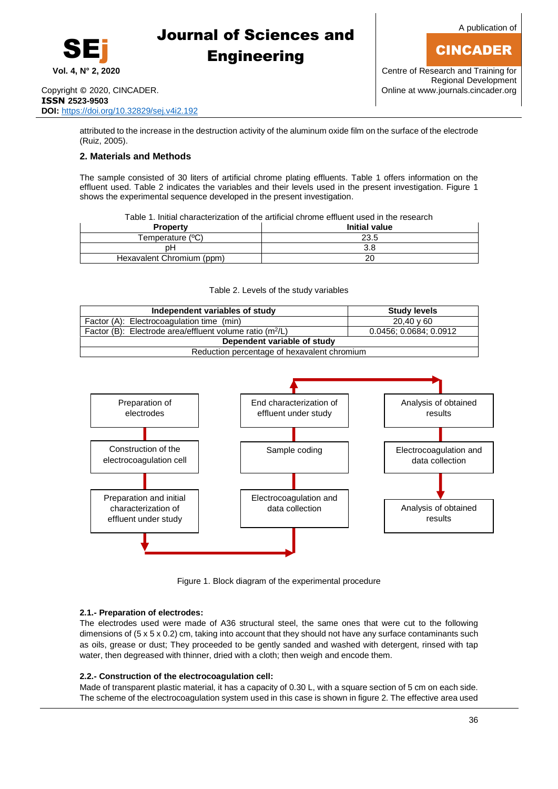

A publication of

## CINCADER

**Vol. 4, N° 2, 2020** Centre of Research and Training for Regional Development

attributed to the increase in the destruction activity of the aluminum oxide film on the surface of the electrode (Ruiz, 2005).

### **2. Materials and Methods**

The sample consisted of 30 liters of artificial chrome plating effluents. Table 1 offers information on the effluent used. Table 2 indicates the variables and their levels used in the present investigation. Figure 1 shows the experimental sequence developed in the present investigation.

Table 1. Initial characterization of the artificial chrome effluent used in the research

| <b>Property</b>           | <b>Initial value</b> |
|---------------------------|----------------------|
| Temperature (°C)          | 23.5                 |
| pН                        | 3.8                  |
| Hexavalent Chromium (ppm) | 20                   |

#### Table 2. Levels of the study variables

| Independent variables of study                             | <b>Study levels</b>    |  |  |  |  |  |
|------------------------------------------------------------|------------------------|--|--|--|--|--|
| Factor (A): Electrocoagulation time (min)                  | $20.40 \times 60$      |  |  |  |  |  |
| Factor (B): Electrode area/effluent volume ratio $(m^2/L)$ | 0.0456; 0.0684; 0.0912 |  |  |  |  |  |
| Dependent variable of study                                |                        |  |  |  |  |  |
| Reduction percentage of hexavalent chromium                |                        |  |  |  |  |  |



Figure 1. Block diagram of the experimental procedure

### **2.1.- Preparation of electrodes:**

The electrodes used were made of A36 structural steel, the same ones that were cut to the following dimensions of (5 x 5 x 0.2) cm, taking into account that they should not have any surface contaminants such as oils, grease or dust; They proceeded to be gently sanded and washed with detergent, rinsed with tap water, then degreased with thinner, dried with a cloth; then weigh and encode them.

### **2.2.- Construction of the electrocoagulation cell:**

Made of transparent plastic material, it has a capacity of 0.30 L, with a square section of 5 cm on each side. The scheme of the electrocoagulation system used in this case is shown in figure 2. The effective area used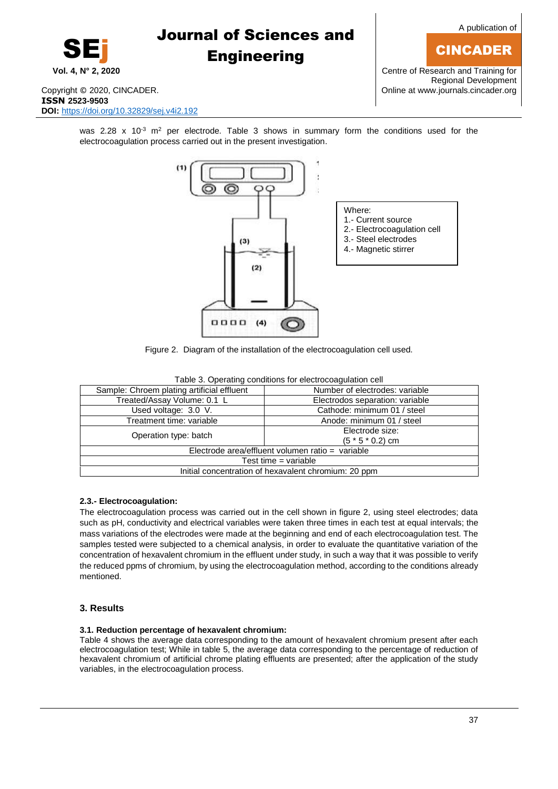

A publication of

## CINCADER

**Vol. 4, N° 2, 2020** Centre of Research and Training for Regional Development

Copyright © 2020, CINCADER. COME CONSERVERSITY CONFIDENTIAL CONSERVERSITY Online a[t www.journals.cincader.org](http://www.journals.cincader.org/) **ISSN 2523-9503 DOI:** <https://doi.org/10.32829/sej.v4i2.192>

was 2.28 x 10<sup>-3</sup> m<sup>2</sup> per electrode. Table 3 shows in summary form the conditions used for the electrocoagulation process carried out in the present investigation.



Figure 2.Diagram of the installation of the electrocoagulation cell used.

| Sample: Chroem plating artificial effluent           | Number of electrodes: variable        |  |  |  |  |  |
|------------------------------------------------------|---------------------------------------|--|--|--|--|--|
| Treated/Assay Volume: 0.1 L                          | Electrodos separation: variable       |  |  |  |  |  |
| Used voltage: 3.0 V.                                 | Cathode: minimum 01 / steel           |  |  |  |  |  |
| Treatment time: variable                             | Anode: minimum 01 / steel             |  |  |  |  |  |
| Operation type: batch                                | Electrode size:<br>$(5 * 5 * 0.2)$ cm |  |  |  |  |  |
| Electrode area/effluent volumen ratio = variable     |                                       |  |  |  |  |  |
| Test time $=$ variable                               |                                       |  |  |  |  |  |
| Initial concentration of hexavalent chromium: 20 ppm |                                       |  |  |  |  |  |
|                                                      |                                       |  |  |  |  |  |

Table 3. Operating conditions for electrocoagulation cell

### **2.3.- Electrocoagulation:**

The electrocoagulation process was carried out in the cell shown in figure 2, using steel electrodes; data such as pH, conductivity and electrical variables were taken three times in each test at equal intervals; the mass variations of the electrodes were made at the beginning and end of each electrocoagulation test. The samples tested were subjected to a chemical analysis, in order to evaluate the quantitative variation of the concentration of hexavalent chromium in the effluent under study, in such a way that it was possible to verify the reduced ppms of chromium, by using the electrocoagulation method, according to the conditions already mentioned.

### **3. Results**

### **3.1. Reduction percentage of hexavalent chromium:**

Table 4 shows the average data corresponding to the amount of hexavalent chromium present after each electrocoagulation test; While in table 5, the average data corresponding to the percentage of reduction of hexavalent chromium of artificial chrome plating effluents are presented; after the application of the study variables, in the electrocoagulation process.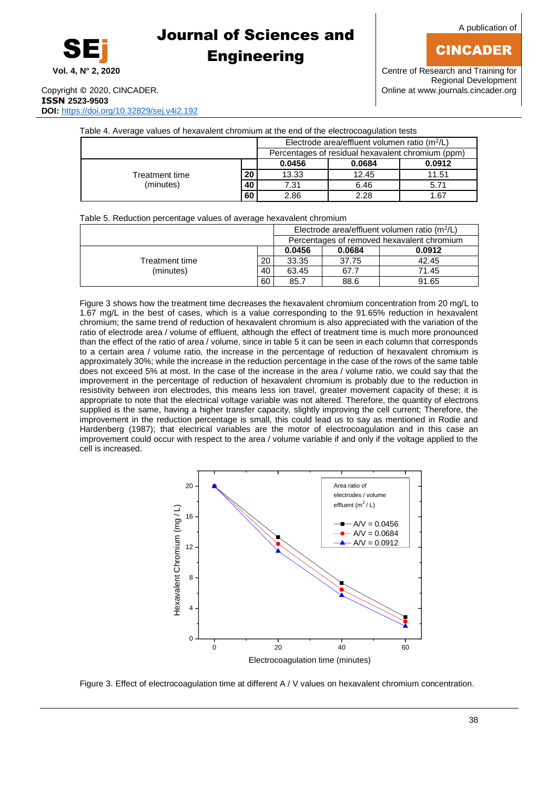

A publication of

## CINCADER

Copyright © 2020, CINCADER. **ISSN 2523-9503 DOI:** <https://doi.org/10.32829/sej.v4i2.192>

| Table 4. Average values of hexavalent chromium at the end of the electrocoagulation tests |                                                 |                                                   |        |        |  |  |  |  |
|-------------------------------------------------------------------------------------------|-------------------------------------------------|---------------------------------------------------|--------|--------|--|--|--|--|
|                                                                                           | Electrode area/effluent volumen ratio $(m^2/L)$ |                                                   |        |        |  |  |  |  |
|                                                                                           |                                                 | Percentages of residual hexavalent chromium (ppm) |        |        |  |  |  |  |
|                                                                                           |                                                 | 0.0456                                            | 0.0684 | 0.0912 |  |  |  |  |
| Treatment time                                                                            | 20                                              | 13.33                                             | 12.45  | 11.51  |  |  |  |  |
| (minutes)                                                                                 | 40                                              | 7.31                                              | 6.46   | 5.71   |  |  |  |  |
|                                                                                           | 60                                              | 2.86                                              | 2.28   | 1.67   |  |  |  |  |

|  | Table 5. Reduction percentage values of average hexavalent chromium |  |  |
|--|---------------------------------------------------------------------|--|--|
|  |                                                                     |  |  |
|  |                                                                     |  |  |

|                |                                            | Electrode area/effluent volumen ratio $(m^2/L)$ |        |        |  |
|----------------|--------------------------------------------|-------------------------------------------------|--------|--------|--|
|                | Percentages of removed hexavalent chromium |                                                 |        |        |  |
|                |                                            | 0.0456                                          | 0.0684 | 0.0912 |  |
| Treatment time | 20                                         | 33.35                                           | 37.75  | 42.45  |  |
| (minutes)      | 40                                         | 63.45                                           | 67.7   | 71.45  |  |
|                | 60                                         | 85.7                                            | 88.6   | 91.65  |  |

Figure 3 shows how the treatment time decreases the hexavalent chromium concentration from 20 mg/L to 1.67 mg/L in the best of cases, which is a value corresponding to the 91.65% reduction in hexavalent chromium; the same trend of reduction of hexavalent chromium is also appreciated with the variation of the ratio of electrode area / volume of effluent, although the effect of treatment time is much more pronounced than the effect of the ratio of area / volume, since in table 5 it can be seen in each column that corresponds to a certain area / volume ratio, the increase in the percentage of reduction of hexavalent chromium is approximately 30%; while the increase in the reduction percentage in the case of the rows of the same table does not exceed 5% at most. In the case of the increase in the area / volume ratio, we could say that the improvement in the percentage of reduction of hexavalent chromium is probably due to the reduction in resistivity between iron electrodes, this means less ion travel, greater movement capacity of these; it is appropriate to note that the electrical voltage variable was not altered. Therefore, the quantity of electrons supplied is the same, having a higher transfer capacity, slightly improving the cell current; Therefore, the improvement in the reduction percentage is small, this could lead us to say as mentioned in Rodie and Hardenberg (1987); that electrical variables are the motor of electrocoagulation and in this case an improvement could occur with respect to the area / volume variable if and only if the voltage applied to the cell is increased.



Figure 3. Effect of electrocoagulation time at different A / V values on hexavalent chromium concentration.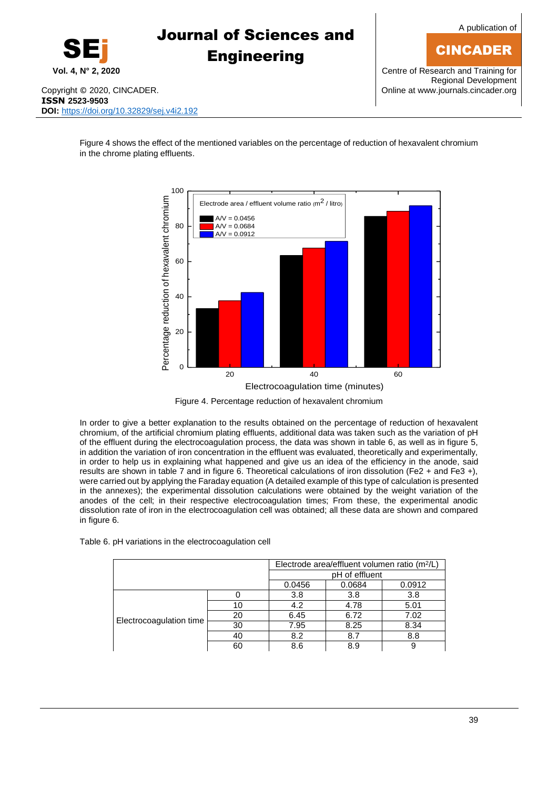**Vol. 4, N° 2, 2020** Centre of Research and Training for Regional Development

Copyright © 2020, CINCADER. COME CONSERVERSITY CONFIDENTIAL CONSERVERSITY Online a[t www.journals.cincader.org](http://www.journals.cincader.org/) **ISSN 2523-9503 DOI:** <https://doi.org/10.32829/sej.v4i2.192>

SEj

Figure 4 shows the effect of the mentioned variables on the percentage of reduction of hexavalent chromium in the chrome plating effluents.

# 20 40 60  $\Omega$ 20 40 60 80  $AV = 0.0456$  $AV = 0.0684$ Electrode area / effluent v<br>
Black area / effluent v<br>
A/V = 0.0456<br>
A/V = 0.0684<br>
A/V = 0.0912<br>
A/V = 0.0912<br>
A/V = 0.0912<br>
A/V = 0.0912<br>
A/V = 0.0912<br>
A/V = 0.0912<br>
A/V = 0.0912<br>
A/V = 0.0912<br>
A/V = 0.0912<br>
A/V = 0.0912

Electrocoagulation time (minutes)

Figure 4. Percentage reduction of hexavalent chromium

In order to give a better explanation to the results obtained on the percentage of reduction of hexavalent chromium, of the artificial chromium plating effluents, additional data was taken such as the variation of pH of the effluent during the electrocoagulation process, the data was shown in table 6, as well as in figure 5, in addition the variation of iron concentration in the effluent was evaluated, theoretically and experimentally, in order to help us in explaining what happened and give us an idea of the efficiency in the anode, said results are shown in table 7 and in figure 6. Theoretical calculations of iron dissolution (Fe2 + and Fe3 +), were carried out by applying the Faraday equation (A detailed example of this type of calculation is presented in the annexes); the experimental dissolution calculations were obtained by the weight variation of the anodes of the cell; in their respective electrocoagulation times; From these, the experimental anodic dissolution rate of iron in the electrocoagulation cell was obtained; all these data are shown and compared in figure 6.

Electrode area/effluent volumen ratio (m<sup>2</sup>/L) pH of effluent 0.0456 0.0684 0.0912 Electrocoagulation time 0 | 3.8 | 3.8 | 3.8 10 4.2 4.78 5.01 20 6.45 6.72 7.02 30 7.95 8.25 8.34 40 | 8.2 | 8.7 | 8.8

60 | 8.6 | 8.9 | 9

Table 6. pH variations in the electrocoagulation cell



CINCADER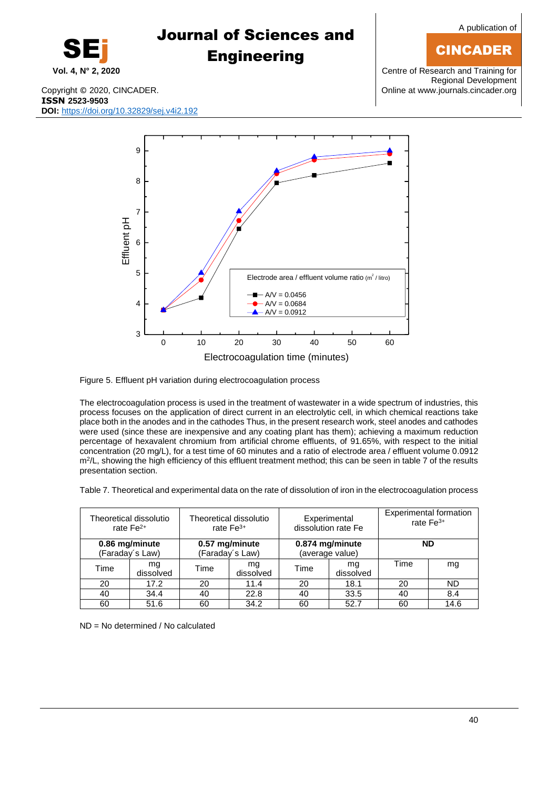## CINCADER

**Vol. 4, N° 2, 2020** Centre of Research and Training for Regional Development

SEj

## Journal of Sciences and **Engineering**

Copyright © 2020, CINCADER. COME CONSERVERSITY CONFIDENTIAL CONTRACT CONSERVERSITY Online a[t www.journals.cincader.org](http://www.journals.cincader.org/) **ISSN 2523-9503 DOI:** <https://doi.org/10.32829/sej.v4i2.192>



Figure 5. Effluent pH variation during electrocoagulation process

The electrocoagulation process is used in the treatment of wastewater in a wide spectrum of industries, this process focuses on the application of direct current in an electrolytic cell, in which chemical reactions take place both in the anodes and in the cathodes Thus, in the present research work, steel anodes and cathodes were used (since these are inexpensive and any coating plant has them); achieving a maximum reduction percentage of hexavalent chromium from artificial chrome effluents, of 91.65%, with respect to the initial concentration (20 mg/L), for a test time of 60 minutes and a ratio of electrode area / effluent volume 0.0912 m<sup>2</sup>/L, showing the high efficiency of this effluent treatment method; this can be seen in table 7 of the results presentation section.

Table 7. Theoretical and experimental data on the rate of dissolution of iron in the electrocoagulation process

|      | Theoretical dissolutio<br>Theoretical dissolutio<br>rate $Fe2+$<br>rate $Fe3+$ |      |                                   | Experimental<br>dissolution rate Fe |                                    | <b>Experimental formation</b><br>rate $Fe3+$ |           |
|------|--------------------------------------------------------------------------------|------|-----------------------------------|-------------------------------------|------------------------------------|----------------------------------------------|-----------|
|      | 0.86 mg/minute<br>(Faraday's Law)                                              |      | 0.57 mg/minute<br>(Faraday's Law) |                                     | 0.874 mg/minute<br>(average value) |                                              | <b>ND</b> |
| Time | ma<br>dissolved                                                                | Time | ma<br>dissolved                   | Time                                | ma<br>dissolved                    | Time                                         | mg        |
| 20   | 17.2                                                                           | 20   | 11.4                              | 20                                  | 18.1                               | 20                                           | ND        |
| 40   | 34.4                                                                           | 40   | 22.8                              | 40                                  | 33.5                               | 40                                           | 8.4       |
| 60   | 51.6                                                                           | 60   | 34.2                              | 60                                  | 52.7                               | 60                                           | 14.6      |

ND = No determined / No calculated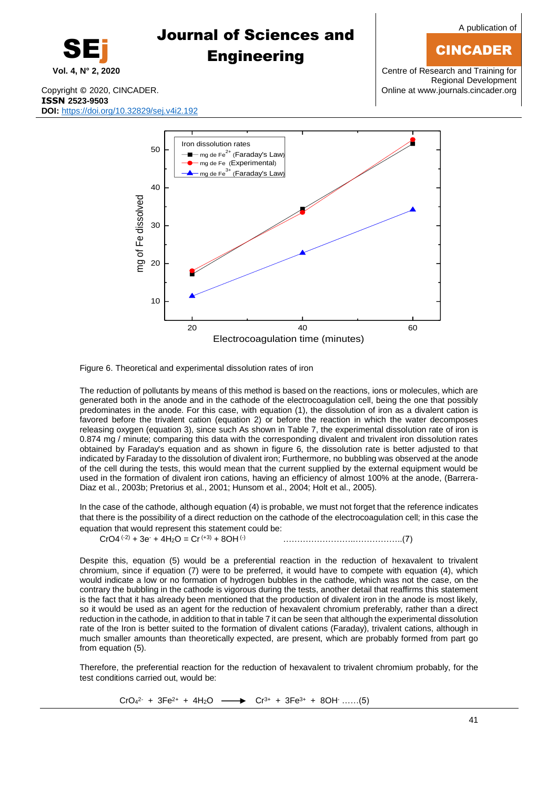

### CINCADER

Regional Development

Figure 6. Theoretical and experimental dissolution rates of iron

10

20

30

The reduction of pollutants by means of this method is based on the reactions, ions or molecules, which are generated both in the anode and in the cathode of the electrocoagulation cell, being the one that possibly predominates in the anode. For this case, with equation (1), the dissolution of iron as a divalent cation is favored before the trivalent cation (equation 2) or before the reaction in which the water decomposes releasing oxygen (equation 3), since such As shown in Table 7, the experimental dissolution rate of iron is 0.874 mg / minute; comparing this data with the corresponding divalent and trivalent iron dissolution rates obtained by Faraday's equation and as shown in figure 6, the dissolution rate is better adjusted to that indicated by Faraday to the dissolution of divalent iron; Furthermore, no bubbling was observed at the anode of the cell during the tests, this would mean that the current supplied by the external equipment would be used in the formation of divalent iron cations, having an efficiency of almost 100% at the anode, (Barrera-Diaz et al., 2003b; Pretorius et al., 2001; Hunsom et al., 2004; Holt et al., 2005).

20 40 60

Electrocoagulation time (minutes)

In the case of the cathode, although equation (4) is probable, we must not forget that the reference indicates that there is the possibility of a direct reduction on the cathode of the electrocoagulation cell; in this case the equation that would represent this statement could be:

CrO4 (-2) + 3e- + 4H2O = Cr (+3) + 8OH (-) ……………………..……………..(7)

Despite this, equation (5) would be a preferential reaction in the reduction of hexavalent to trivalent chromium, since if equation (7) were to be preferred, it would have to compete with equation (4), which would indicate a low or no formation of hydrogen bubbles in the cathode, which was not the case, on the contrary the bubbling in the cathode is vigorous during the tests, another detail that reaffirms this statement is the fact that it has already been mentioned that the production of divalent iron in the anode is most likely, so it would be used as an agent for the reduction of hexavalent chromium preferably, rather than a direct reduction in the cathode, in addition to that in table 7 it can be seen that although the experimental dissolution rate of the Iron is better suited to the formation of divalent cations (Faraday), trivalent cations, although in much smaller amounts than theoretically expected, are present, which are probably formed from part go from equation (5).

Therefore, the preferential reaction for the reduction of hexavalent to trivalent chromium probably, for the test conditions carried out, would be:

> $CrO<sub>4</sub><sup>2</sup>$  $\rightarrow$  Cr<sup>3+</sup> + 3Fe<sup>3+</sup> + 8OH<sup>-</sup> ……(5)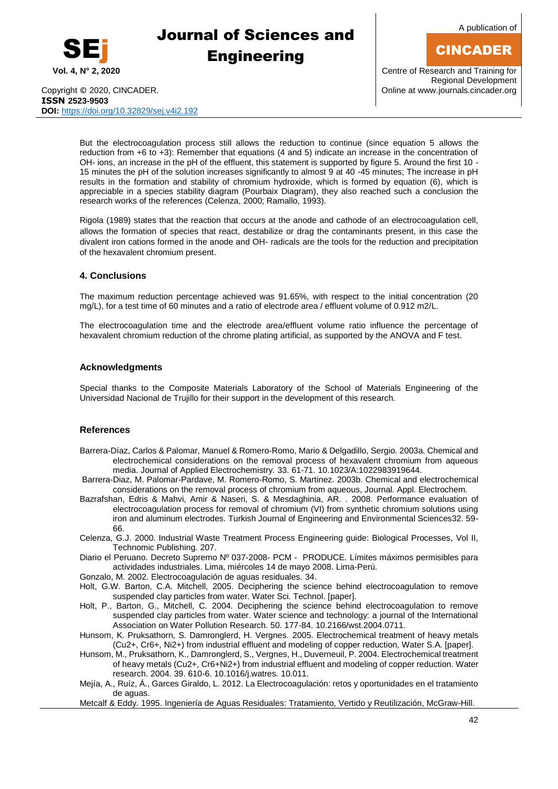

A publication of

## CINCADER

Copyright © 2020, CINCADER. COME CONSERVERSITY CONFIDENTIAL CONSERVERSITY Online a[t www.journals.cincader.org](http://www.journals.cincader.org/) **ISSN 2523-9503 DOI:** <https://doi.org/10.32829/sej.v4i2.192>

**Vol. 4, N° 2, 2020** Centre of Research and Training for Regional Development

But the electrocoagulation process still allows the reduction to continue (since equation 5 allows the reduction from +6 to +3): Remember that equations (4 and 5) indicate an increase in the concentration of OH- ions, an increase in the pH of the effluent, this statement is supported by figure 5. Around the first 10 - 15 minutes the pH of the solution increases significantly to almost 9 at 40 -45 minutes; The increase in pH results in the formation and stability of chromium hydroxide, which is formed by equation (6), which is appreciable in a species stability diagram (Pourbaix Diagram), they also reached such a conclusion the research works of the references (Celenza, 2000; Ramallo, 1993).

Rigola (1989) states that the reaction that occurs at the anode and cathode of an electrocoagulation cell, allows the formation of species that react, destabilize or drag the contaminants present, in this case the divalent iron cations formed in the anode and OH- radicals are the tools for the reduction and precipitation of the hexavalent chromium present.

### **4. Conclusions**

The maximum reduction percentage achieved was 91.65%, with respect to the initial concentration (20 mg/L), for a test time of 60 minutes and a ratio of electrode area / effluent volume of 0.912 m2/L.

The electrocoagulation time and the electrode area/effluent volume ratio influence the percentage of hexavalent chromium reduction of the chrome plating artificial, as supported by the ANOVA and F test.

#### **Acknowledgments**

Special thanks to the Composite Materials Laboratory of the School of Materials Engineering of the Universidad Nacional de Trujillo for their support in the development of this research.

### **References**

- Barrera-Díaz, Carlos & Palomar, Manuel & Romero-Romo, Mario & Delgadillo, Sergio. 2003a. Chemical and electrochemical considerations on the removal process of hexavalent chromium from aqueous media. Journal of Applied Electrochemistry. 33. 61-71. 10.1023/A:1022983919644.
- Barrera-Diaz, M. Palomar-Pardave, M. Romero-Romo, S. Martinez. 2003b. Chemical and electrochemical considerations on the removal process of chromium from aqueous, Journal. Appl. Electrochem.
- Bazrafshan, Edris & Mahvi, Amir & Naseri, S. & Mesdaghinia, AR. . 2008. Performance evaluation of electrocoagulation process for removal of chromium (VI) from synthetic chromium solutions using iron and aluminum electrodes. Turkish Journal of Engineering and Environmental Sciences32. 59- 66.
- Celenza, G.J. 2000. Industrial Waste Treatment Process Engineering guide: Biological Processes, Vol II, Technomic Publishing. 207.
- Diario el Peruano. Decreto Supremo Nº 037-2008- PCM PRODUCE. Límites máximos permisibles para actividades industriales. Lima, miércoles 14 de mayo 2008. Lima-Perú.
- Gonzalo, M. 2002. Electrocoagulación de aguas residuales. 34.
- Holt, G.W. Barton, C.A. Mitchell, 2005. Deciphering the science behind electrocoagulation to remove suspended clay particles from water. Water Sci. Technol. [paper].
- Holt, P., Barton, G., Mitchell, C. 2004. Deciphering the science behind electrocoagulation to remove suspended clay particles from water. Water science and technology: a journal of the International Association on Water Pollution Research. 50. 177-84. 10.2166/wst.2004.0711.
- Hunsom, K. Pruksathorn, S. Damronglerd, H. Vergnes. 2005. Electrochemical treatment of heavy metals (Cu2+, Cr6+, Ni2+) from industrial effluent and modeling of copper reduction, Water S.A. [paper].
- Hunsom, M., Pruksathorn, K., Damronglerd, S., Vergnes, H., Duverneuil, P. 2004. Electrochemical treatment of heavy metals (Cu2+, Cr6+Ni2+) from industrial effluent and modeling of copper reduction. Water research. 2004. 39. 610-6. 10.1016/j.watres. 10.011.
- Mejía, A., Ruíz, Á., Garces Giraldo, L. 2012. La Electrocoagulación: retos y oportunidades en el tratamiento de aguas.

Metcalf & Eddy. 1995. Ingeniería de Aguas Residuales: Tratamiento, Vertido y Reutilización, McGraw-Hill.